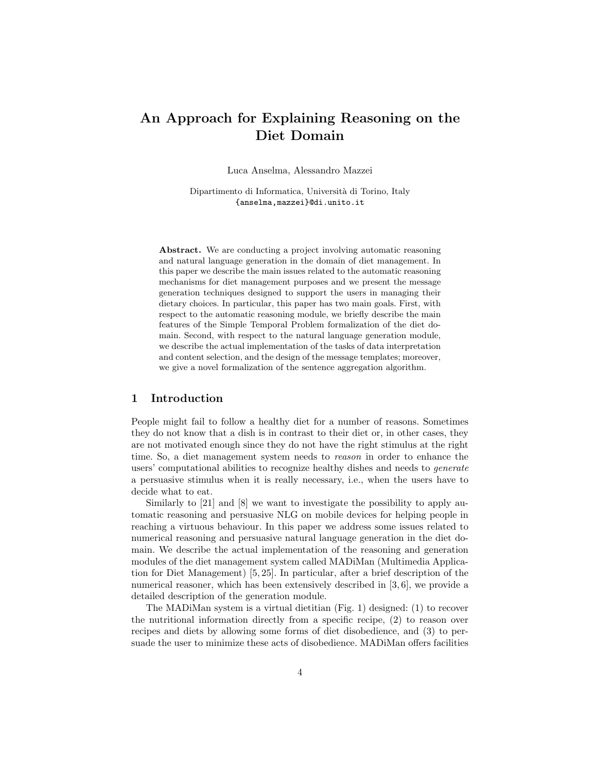# An Approach for Explaining Reasoning on the Diet Domain

Luca Anselma, Alessandro Mazzei

Dipartimento di Informatica, Università di Torino, Italy {anselma,mazzei}@di.unito.it

Abstract. We are conducting a project involving automatic reasoning and natural language generation in the domain of diet management. In this paper we describe the main issues related to the automatic reasoning mechanisms for diet management purposes and we present the message generation techniques designed to support the users in managing their dietary choices. In particular, this paper has two main goals. First, with respect to the automatic reasoning module, we briefly describe the main features of the Simple Temporal Problem formalization of the diet domain. Second, with respect to the natural language generation module, we describe the actual implementation of the tasks of data interpretation and content selection, and the design of the message templates; moreover, we give a novel formalization of the sentence aggregation algorithm.

## 1 Introduction

People might fail to follow a healthy diet for a number of reasons. Sometimes they do not know that a dish is in contrast to their diet or, in other cases, they are not motivated enough since they do not have the right stimulus at the right time. So, a diet management system needs to reason in order to enhance the users' computational abilities to recognize healthy dishes and needs to generate a persuasive stimulus when it is really necessary, i.e., when the users have to decide what to eat.

Similarly to [21] and [8] we want to investigate the possibility to apply automatic reasoning and persuasive NLG on mobile devices for helping people in reaching a virtuous behaviour. In this paper we address some issues related to numerical reasoning and persuasive natural language generation in the diet domain. We describe the actual implementation of the reasoning and generation modules of the diet management system called MADiMan (Multimedia Application for Diet Management) [5, 25]. In particular, after a brief description of the numerical reasoner, which has been extensively described in [3, 6], we provide a detailed description of the generation module.

The MADiMan system is a virtual dietitian (Fig. 1) designed: (1) to recover the nutritional information directly from a specific recipe, (2) to reason over recipes and diets by allowing some forms of diet disobedience, and (3) to persuade the user to minimize these acts of disobedience. MADiMan offers facilities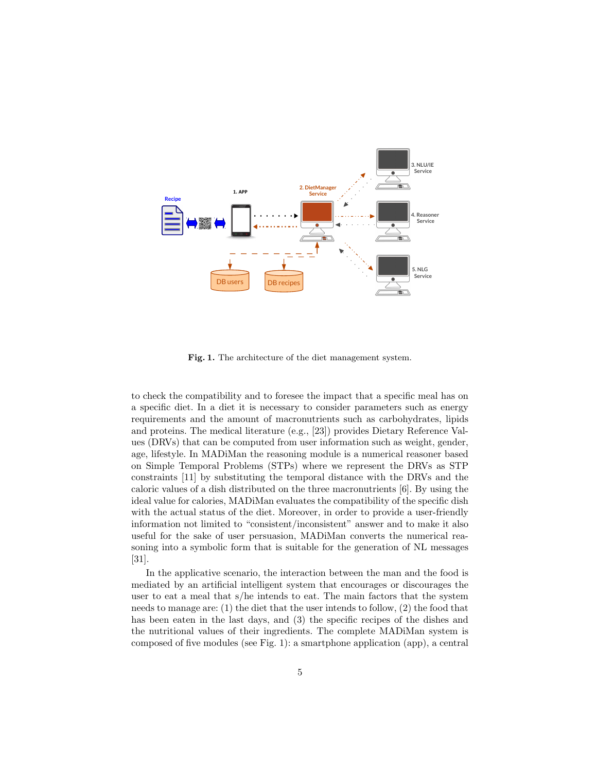

Fig. 1. The architecture of the diet management system.

to check the compatibility and to foresee the impact that a specific meal has on a specific diet. In a diet it is necessary to consider parameters such as energy requirements and the amount of macronutrients such as carbohydrates, lipids and proteins. The medical literature (e.g., [23]) provides Dietary Reference Values (DRVs) that can be computed from user information such as weight, gender, age, lifestyle. In MADiMan the reasoning module is a numerical reasoner based on Simple Temporal Problems (STPs) where we represent the DRVs as STP constraints [11] by substituting the temporal distance with the DRVs and the caloric values of a dish distributed on the three macronutrients [6]. By using the ideal value for calories, MADiMan evaluates the compatibility of the specific dish with the actual status of the diet. Moreover, in order to provide a user-friendly information not limited to "consistent/inconsistent" answer and to make it also useful for the sake of user persuasion, MADiMan converts the numerical reasoning into a symbolic form that is suitable for the generation of NL messages [31].

In the applicative scenario, the interaction between the man and the food is mediated by an artificial intelligent system that encourages or discourages the user to eat a meal that s/he intends to eat. The main factors that the system needs to manage are: (1) the diet that the user intends to follow, (2) the food that has been eaten in the last days, and (3) the specific recipes of the dishes and the nutritional values of their ingredients. The complete MADiMan system is composed of five modules (see Fig. 1): a smartphone application (app), a central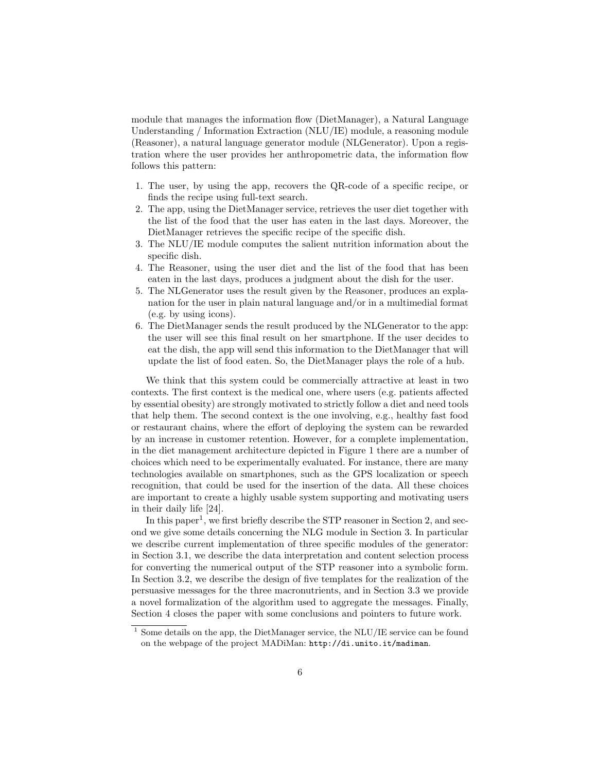module that manages the information flow (DietManager), a Natural Language Understanding / Information Extraction (NLU/IE) module, a reasoning module (Reasoner), a natural language generator module (NLGenerator). Upon a registration where the user provides her anthropometric data, the information flow follows this pattern:

- 1. The user, by using the app, recovers the QR-code of a specific recipe, or finds the recipe using full-text search.
- 2. The app, using the DietManager service, retrieves the user diet together with the list of the food that the user has eaten in the last days. Moreover, the DietManager retrieves the specific recipe of the specific dish.
- 3. The NLU/IE module computes the salient nutrition information about the specific dish.
- 4. The Reasoner, using the user diet and the list of the food that has been eaten in the last days, produces a judgment about the dish for the user.
- 5. The NLGenerator uses the result given by the Reasoner, produces an explanation for the user in plain natural language and/or in a multimedial format (e.g. by using icons).
- 6. The DietManager sends the result produced by the NLGenerator to the app: the user will see this final result on her smartphone. If the user decides to eat the dish, the app will send this information to the DietManager that will update the list of food eaten. So, the DietManager plays the role of a hub.

We think that this system could be commercially attractive at least in two contexts. The first context is the medical one, where users (e.g. patients affected by essential obesity) are strongly motivated to strictly follow a diet and need tools that help them. The second context is the one involving, e.g., healthy fast food or restaurant chains, where the effort of deploying the system can be rewarded by an increase in customer retention. However, for a complete implementation, in the diet management architecture depicted in Figure 1 there are a number of choices which need to be experimentally evaluated. For instance, there are many technologies available on smartphones, such as the GPS localization or speech recognition, that could be used for the insertion of the data. All these choices are important to create a highly usable system supporting and motivating users in their daily life [24].

In this paper<sup>1</sup>, we first briefly describe the STP reasoner in Section 2, and second we give some details concerning the NLG module in Section 3. In particular we describe current implementation of three specific modules of the generator: in Section 3.1, we describe the data interpretation and content selection process for converting the numerical output of the STP reasoner into a symbolic form. In Section 3.2, we describe the design of five templates for the realization of the persuasive messages for the three macronutrients, and in Section 3.3 we provide a novel formalization of the algorithm used to aggregate the messages. Finally, Section 4 closes the paper with some conclusions and pointers to future work.

 $1$  Some details on the app, the DietManager service, the NLU/IE service can be found on the webpage of the project MADiMan: http://di.unito.it/madiman.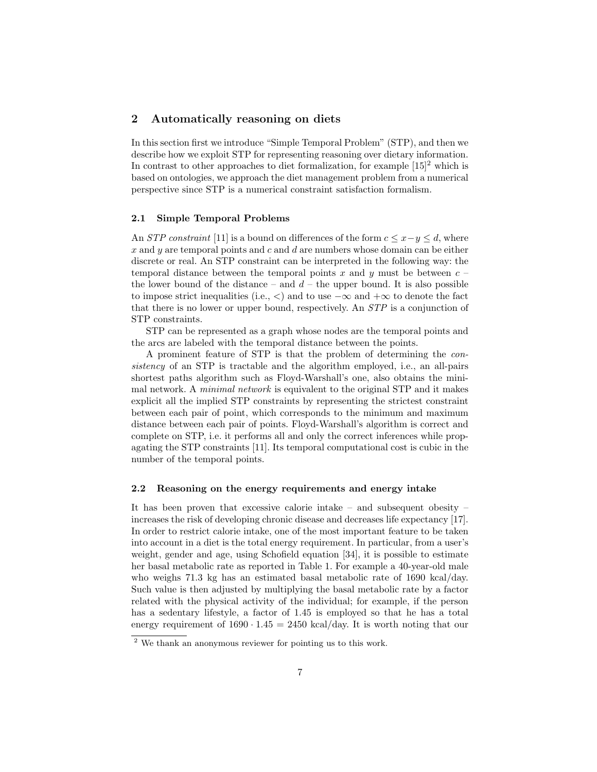## 2 Automatically reasoning on diets

In this section first we introduce "Simple Temporal Problem" (STP), and then we describe how we exploit STP for representing reasoning over dietary information. In contrast to other approaches to diet formalization, for example  $[15]^2$  which is based on ontologies, we approach the diet management problem from a numerical perspective since STP is a numerical constraint satisfaction formalism.

#### 2.1 Simple Temporal Problems

An *STP constraint* [11] is a bound on differences of the form  $c \leq x-y \leq d$ , where  $x$  and  $y$  are temporal points and  $c$  and  $d$  are numbers whose domain can be either discrete or real. An STP constraint can be interpreted in the following way: the temporal distance between the temporal points x and y must be between  $c$ the lower bound of the distance – and  $d$  – the upper bound. It is also possible to impose strict inequalities (i.e.,  $\lt$ ) and to use  $-\infty$  and  $+\infty$  to denote the fact that there is no lower or upper bound, respectively. An STP is a conjunction of STP constraints.

STP can be represented as a graph whose nodes are the temporal points and the arcs are labeled with the temporal distance between the points.

A prominent feature of STP is that the problem of determining the consistency of an STP is tractable and the algorithm employed, i.e., an all-pairs shortest paths algorithm such as Floyd-Warshall's one, also obtains the minimal network. A minimal network is equivalent to the original STP and it makes explicit all the implied STP constraints by representing the strictest constraint between each pair of point, which corresponds to the minimum and maximum distance between each pair of points. Floyd-Warshall's algorithm is correct and complete on STP, i.e. it performs all and only the correct inferences while propagating the STP constraints [11]. Its temporal computational cost is cubic in the number of the temporal points.

### 2.2 Reasoning on the energy requirements and energy intake

It has been proven that excessive calorie intake – and subsequent obesity – increases the risk of developing chronic disease and decreases life expectancy [17]. In order to restrict calorie intake, one of the most important feature to be taken into account in a diet is the total energy requirement. In particular, from a user's weight, gender and age, using Schofield equation [34], it is possible to estimate her basal metabolic rate as reported in Table 1. For example a 40-year-old male who weighs 71.3 kg has an estimated basal metabolic rate of 1690 kcal/day. Such value is then adjusted by multiplying the basal metabolic rate by a factor related with the physical activity of the individual; for example, if the person has a sedentary lifestyle, a factor of 1.45 is employed so that he has a total energy requirement of  $1690 \cdot 1.45 = 2450 \text{ kcal/day}$ . It is worth noting that our

<sup>2</sup> We thank an anonymous reviewer for pointing us to this work.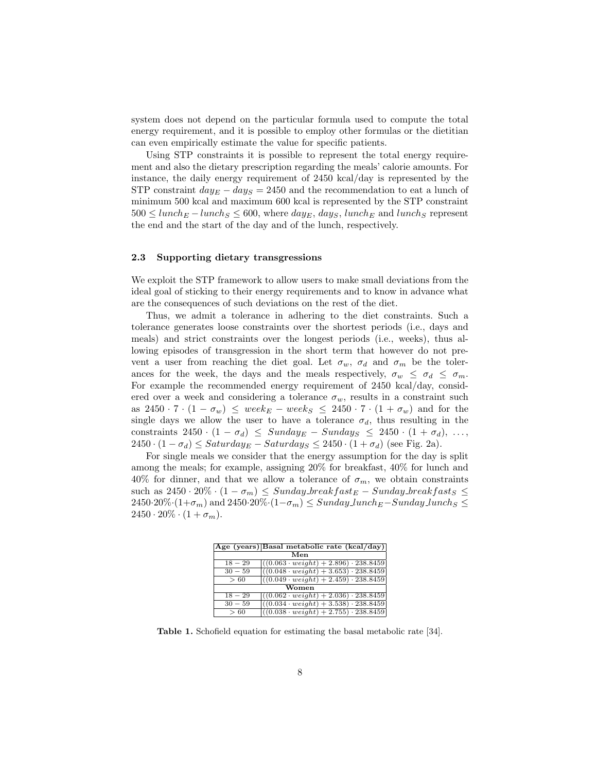system does not depend on the particular formula used to compute the total energy requirement, and it is possible to employ other formulas or the dietitian can even empirically estimate the value for specific patients.

Using STP constraints it is possible to represent the total energy requirement and also the dietary prescription regarding the meals' calorie amounts. For instance, the daily energy requirement of 2450 kcal/day is represented by the STP constraint  $day_E - day_S = 2450$  and the recommendation to eat a lunch of minimum 500 kcal and maximum 600 kcal is represented by the STP constraint  $500 \leq lunch_E-lunch_S \leq 600$ , where  $day_E$ ,  $day_S$ , lunch<sub>E</sub> and lunch<sub>S</sub> represent the end and the start of the day and of the lunch, respectively.

### 2.3 Supporting dietary transgressions

We exploit the STP framework to allow users to make small deviations from the ideal goal of sticking to their energy requirements and to know in advance what are the consequences of such deviations on the rest of the diet.

Thus, we admit a tolerance in adhering to the diet constraints. Such a tolerance generates loose constraints over the shortest periods (i.e., days and meals) and strict constraints over the longest periods (i.e., weeks), thus allowing episodes of transgression in the short term that however do not prevent a user from reaching the diet goal. Let  $\sigma_w$ ,  $\sigma_d$  and  $\sigma_m$  be the tolerances for the week, the days and the meals respectively,  $\sigma_w \leq \sigma_d \leq \sigma_m$ . For example the recommended energy requirement of 2450 kcal/day, considered over a week and considering a tolerance  $\sigma_w$ , results in a constraint such as  $2450 \cdot 7 \cdot (1 - \sigma_w) \leq week_E - week_S \leq 2450 \cdot 7 \cdot (1 + \sigma_w)$  and for the single days we allow the user to have a tolerance  $\sigma_d$ , thus resulting in the constraints 2450 ·  $(1 - \sigma_d) \leq$  Sunday<sub>E</sub> – Sunday<sub>S</sub>  $\leq$  2450 ·  $(1 + \sigma_d), \ldots,$  $2450 \cdot (1 - \sigma_d) \leq Saturday_E - Saturday_S \leq 2450 \cdot (1 + \sigma_d)$  (see Fig. 2a).

For single meals we consider that the energy assumption for the day is split among the meals; for example, assigning 20% for breakfast, 40% for lunch and 40% for dinner, and that we allow a tolerance of  $\sigma_m$ , we obtain constraints such as  $2450 \cdot 20\% \cdot (1 - \sigma_m) \leq Sunday\text{-}breakfast_E - Sunday\text{-}breakfast_S \leq$  $2450·20\%·(1+\sigma_m)$  and  $2450·20\%·(1-\sigma_m) \leq Sunday\_lunch_E-Sunday\_lunch_S \leq$  $2450 \cdot 20\% \cdot (1 + \sigma_m).$ 

|           | Age (years) Basal metabolic rate (kcal/day)      |  |
|-----------|--------------------------------------------------|--|
| Men       |                                                  |  |
| $18 - 29$ | $((0.063 \cdot weight) + 2.896) \cdot 238.8459$  |  |
| $30 - 59$ | $((0.048 \cdot weight) + 3.653) \cdot 238.8459$  |  |
| >60       | $((0.049 \cdot weight) + 2.459) \cdot 238.8459)$ |  |
| Women     |                                                  |  |
| $18 - 29$ | $((0.062 \cdot weight) + 2.036) \cdot 238.8459$  |  |
| $30 - 59$ | $((0.034 \cdot weight) + 3.538) \cdot 238.8459$  |  |
| >60       | $((0.038 \cdot weight) + 2.755) \cdot 238.8459$  |  |

Table 1. Schofield equation for estimating the basal metabolic rate [34].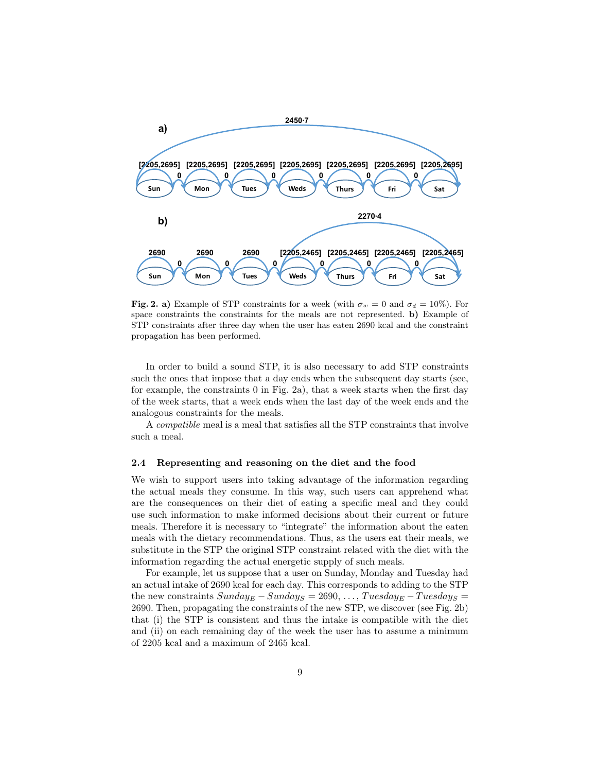

Fig. 2. a) Example of STP constraints for a week (with  $\sigma_w = 0$  and  $\sigma_d = 10\%$ ). For space constraints the constraints for the meals are not represented. b) Example of STP constraints after three day when the user has eaten 2690 kcal and the constraint propagation has been performed.

In order to build a sound STP, it is also necessary to add STP constraints such the ones that impose that a day ends when the subsequent day starts (see, for example, the constraints 0 in Fig. 2a), that a week starts when the first day of the week starts, that a week ends when the last day of the week ends and the analogous constraints for the meals.

A compatible meal is a meal that satisfies all the STP constraints that involve such a meal.

#### 2.4 Representing and reasoning on the diet and the food

We wish to support users into taking advantage of the information regarding the actual meals they consume. In this way, such users can apprehend what are the consequences on their diet of eating a specific meal and they could use such information to make informed decisions about their current or future meals. Therefore it is necessary to "integrate" the information about the eaten meals with the dietary recommendations. Thus, as the users eat their meals, we substitute in the STP the original STP constraint related with the diet with the information regarding the actual energetic supply of such meals.

For example, let us suppose that a user on Sunday, Monday and Tuesday had an actual intake of 2690 kcal for each day. This corresponds to adding to the STP the new constraints  $Sunday_E-Sunday_S = 2690, \ldots, Tuesday_E-Tuesday_S =$ 2690. Then, propagating the constraints of the new STP, we discover (see Fig. 2b) that (i) the STP is consistent and thus the intake is compatible with the diet and (ii) on each remaining day of the week the user has to assume a minimum of 2205 kcal and a maximum of 2465 kcal.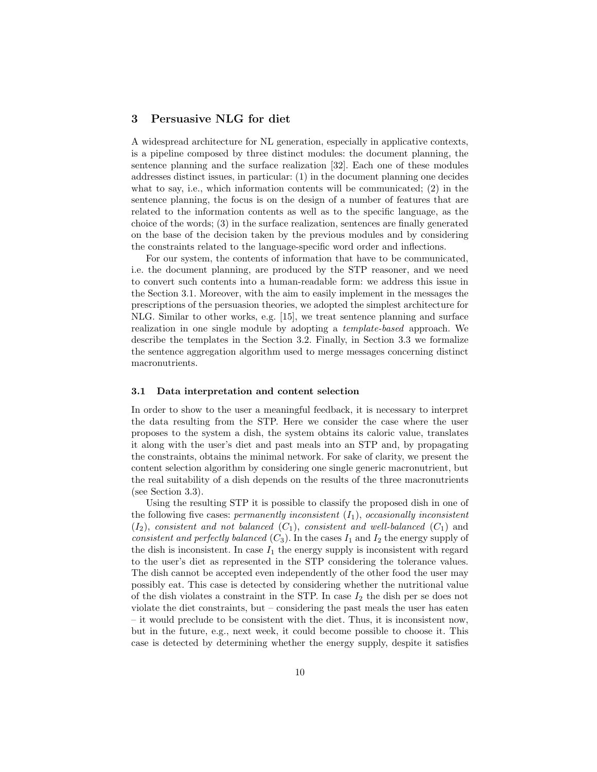## 3 Persuasive NLG for diet

A widespread architecture for NL generation, especially in applicative contexts, is a pipeline composed by three distinct modules: the document planning, the sentence planning and the surface realization [32]. Each one of these modules addresses distinct issues, in particular: (1) in the document planning one decides what to say, i.e., which information contents will be communicated; (2) in the sentence planning, the focus is on the design of a number of features that are related to the information contents as well as to the specific language, as the choice of the words; (3) in the surface realization, sentences are finally generated on the base of the decision taken by the previous modules and by considering the constraints related to the language-specific word order and inflections.

For our system, the contents of information that have to be communicated, i.e. the document planning, are produced by the STP reasoner, and we need to convert such contents into a human-readable form: we address this issue in the Section 3.1. Moreover, with the aim to easily implement in the messages the prescriptions of the persuasion theories, we adopted the simplest architecture for NLG. Similar to other works, e.g. [15], we treat sentence planning and surface realization in one single module by adopting a template-based approach. We describe the templates in the Section 3.2. Finally, in Section 3.3 we formalize the sentence aggregation algorithm used to merge messages concerning distinct macronutrients.

#### 3.1 Data interpretation and content selection

In order to show to the user a meaningful feedback, it is necessary to interpret the data resulting from the STP. Here we consider the case where the user proposes to the system a dish, the system obtains its caloric value, translates it along with the user's diet and past meals into an STP and, by propagating the constraints, obtains the minimal network. For sake of clarity, we present the content selection algorithm by considering one single generic macronutrient, but the real suitability of a dish depends on the results of the three macronutrients (see Section 3.3).

Using the resulting STP it is possible to classify the proposed dish in one of the following five cases: permanently inconsistent  $(I_1)$ , occasionally inconsistent  $(I_2)$ , consistent and not balanced  $(C_1)$ , consistent and well-balanced  $(C_1)$  and consistent and perfectly balanced  $(C_3)$ . In the cases  $I_1$  and  $I_2$  the energy supply of the dish is inconsistent. In case  $I_1$  the energy supply is inconsistent with regard to the user's diet as represented in the STP considering the tolerance values. The dish cannot be accepted even independently of the other food the user may possibly eat. This case is detected by considering whether the nutritional value of the dish violates a constraint in the STP. In case  $I_2$  the dish per se does not violate the diet constraints, but – considering the past meals the user has eaten – it would preclude to be consistent with the diet. Thus, it is inconsistent now, but in the future, e.g., next week, it could become possible to choose it. This case is detected by determining whether the energy supply, despite it satisfies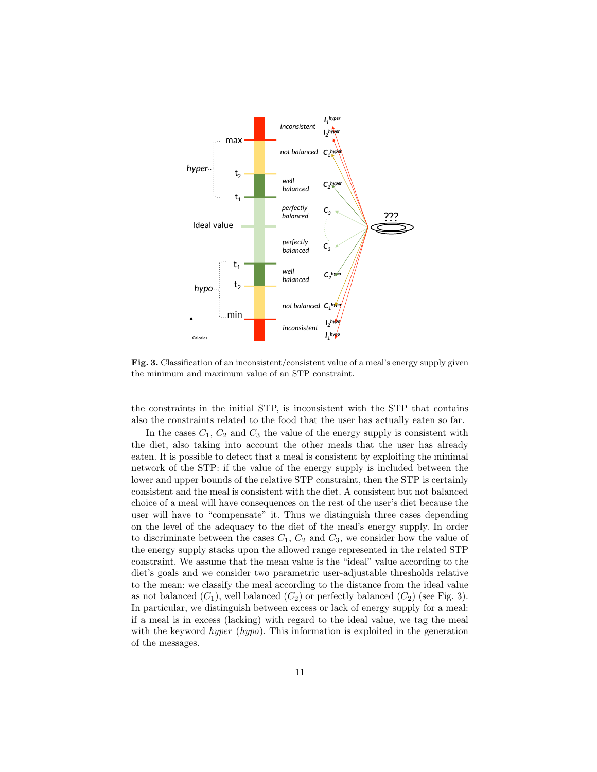

Fig. 3. Classification of an inconsistent/consistent value of a meal's energy supply given the minimum and maximum value of an STP constraint.

the constraints in the initial STP, is inconsistent with the STP that contains also the constraints related to the food that the user has actually eaten so far.

In the cases  $C_1$ ,  $C_2$  and  $C_3$  the value of the energy supply is consistent with the diet, also taking into account the other meals that the user has already eaten. It is possible to detect that a meal is consistent by exploiting the minimal network of the STP: if the value of the energy supply is included between the lower and upper bounds of the relative STP constraint, then the STP is certainly consistent and the meal is consistent with the diet. A consistent but not balanced choice of a meal will have consequences on the rest of the user's diet because the user will have to "compensate" it. Thus we distinguish three cases depending on the level of the adequacy to the diet of the meal's energy supply. In order to discriminate between the cases  $C_1$ ,  $C_2$  and  $C_3$ , we consider how the value of the energy supply stacks upon the allowed range represented in the related STP constraint. We assume that the mean value is the "ideal" value according to the diet's goals and we consider two parametric user-adjustable thresholds relative to the mean: we classify the meal according to the distance from the ideal value as not balanced  $(C_1)$ , well balanced  $(C_2)$  or perfectly balanced  $(C_2)$  (see Fig. 3). In particular, we distinguish between excess or lack of energy supply for a meal: if a meal is in excess (lacking) with regard to the ideal value, we tag the meal with the keyword *hyper* (*hypo*). This information is exploited in the generation of the messages.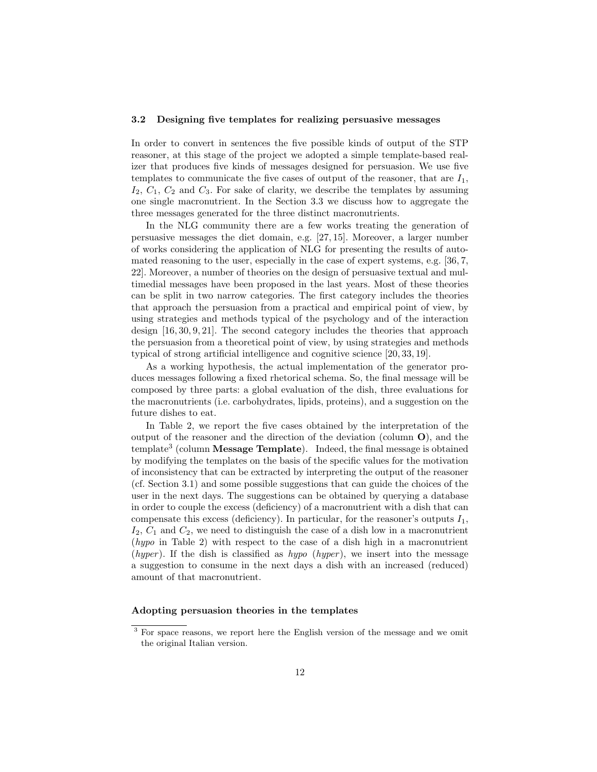#### 3.2 Designing five templates for realizing persuasive messages

In order to convert in sentences the five possible kinds of output of the STP reasoner, at this stage of the project we adopted a simple template-based realizer that produces five kinds of messages designed for persuasion. We use five templates to communicate the five cases of output of the reasoner, that are  $I_1$ ,  $I_2, C_1, C_2$  and  $C_3$ . For sake of clarity, we describe the templates by assuming one single macronutrient. In the Section 3.3 we discuss how to aggregate the three messages generated for the three distinct macronutrients.

In the NLG community there are a few works treating the generation of persuasive messages the diet domain, e.g. [27, 15]. Moreover, a larger number of works considering the application of NLG for presenting the results of automated reasoning to the user, especially in the case of expert systems, e.g. [36, 7, 22]. Moreover, a number of theories on the design of persuasive textual and multimedial messages have been proposed in the last years. Most of these theories can be split in two narrow categories. The first category includes the theories that approach the persuasion from a practical and empirical point of view, by using strategies and methods typical of the psychology and of the interaction design [16, 30, 9, 21]. The second category includes the theories that approach the persuasion from a theoretical point of view, by using strategies and methods typical of strong artificial intelligence and cognitive science [20, 33, 19].

As a working hypothesis, the actual implementation of the generator produces messages following a fixed rhetorical schema. So, the final message will be composed by three parts: a global evaluation of the dish, three evaluations for the macronutrients (i.e. carbohydrates, lipids, proteins), and a suggestion on the future dishes to eat.

In Table 2, we report the five cases obtained by the interpretation of the output of the reasoner and the direction of the deviation (column  $\mathbf{O}$ ), and the template<sup>3</sup> (column Message Template). Indeed, the final message is obtained by modifying the templates on the basis of the specific values for the motivation of inconsistency that can be extracted by interpreting the output of the reasoner (cf. Section 3.1) and some possible suggestions that can guide the choices of the user in the next days. The suggestions can be obtained by querying a database in order to couple the excess (deficiency) of a macronutrient with a dish that can compensate this excess (deficiency). In particular, for the reasoner's outputs  $I_1$ ,  $I_2, C_1$  and  $C_2$ , we need to distinguish the case of a dish low in a macronutrient (hypo in Table 2) with respect to the case of a dish high in a macronutrient (hyper). If the dish is classified as hypo (hyper), we insert into the message a suggestion to consume in the next days a dish with an increased (reduced) amount of that macronutrient.

## Adopting persuasion theories in the templates

<sup>&</sup>lt;sup>3</sup> For space reasons, we report here the English version of the message and we omit the original Italian version.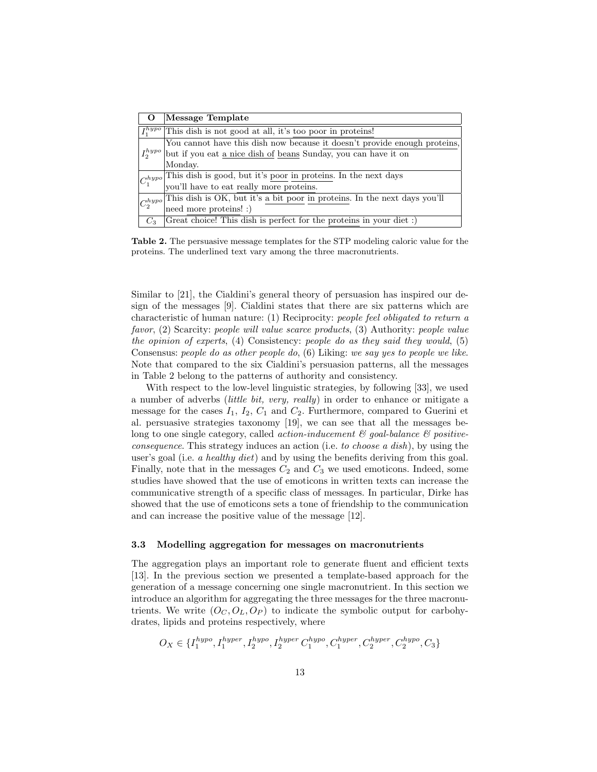|                           | Message Template                                                                                                |
|---------------------------|-----------------------------------------------------------------------------------------------------------------|
| $I_1^{hypo}$              | This dish is not good at all, it's too poor in proteins!                                                        |
| $I_2^{hypo}$              | You cannot have this dish now because it doesn't provide enough proteins,                                       |
|                           | but if you eat a nice dish of beans Sunday, you can have it on                                                  |
|                           | Monday.                                                                                                         |
| $\left C_1^{hypo}\right $ | This dish is good, but it's <u>poor in proteins</u> . In the next days you'll have to eat really more proteins. |
|                           |                                                                                                                 |
| $\mathcal{C}^{hypo}_2$    | This dish is OK, but it's a bit poor in proteins. In the next days you'll                                       |
|                           | need more proteins! :)                                                                                          |
| $C_3$                     | (Great choice! This dish is perfect for the proteins in your diet :)                                            |

Table 2. The persuasive message templates for the STP modeling caloric value for the proteins. The underlined text vary among the three macronutrients.

Similar to [21], the Cialdini's general theory of persuasion has inspired our design of the messages [9]. Cialdini states that there are six patterns which are characteristic of human nature: (1) Reciprocity: people feel obligated to return a favor, (2) Scarcity: people will value scarce products, (3) Authority: people value the opinion of experts, (4) Consistency: people do as they said they would, (5) Consensus: people do as other people do, (6) Liking: we say yes to people we like. Note that compared to the six Cialdini's persuasion patterns, all the messages in Table 2 belong to the patterns of authority and consistency.

With respect to the low-level linguistic strategies, by following [33], we used a number of adverbs (little bit, very, really) in order to enhance or mitigate a message for the cases  $I_1$ ,  $I_2$ ,  $C_1$  and  $C_2$ . Furthermore, compared to Guerini et al. persuasive strategies taxonomy [19], we can see that all the messages belong to one single category, called *action-inducement*  $\mathcal{B}$  goal-balance  $\mathcal{B}$  positiveconsequence. This strategy induces an action (i.e. to choose a dish), by using the user's goal (i.e. a healthy diet) and by using the benefits deriving from this goal. Finally, note that in the messages  $C_2$  and  $C_3$  we used emoticons. Indeed, some studies have showed that the use of emoticons in written texts can increase the communicative strength of a specific class of messages. In particular, Dirke has showed that the use of emoticons sets a tone of friendship to the communication and can increase the positive value of the message [12].

#### 3.3 Modelling aggregation for messages on macronutrients

The aggregation plays an important role to generate fluent and efficient texts [13]. In the previous section we presented a template-based approach for the generation of a message concerning one single macronutrient. In this section we introduce an algorithm for aggregating the three messages for the three macronutrients. We write  $(O_C, O_L, O_P)$  to indicate the symbolic output for carbohydrates, lipids and proteins respectively, where

$$
O_X \in \{I^{hyper}_1, I^{hyper}_2, I^{hyper}_2, I^{hyper}_2, C^{hyper}_1, C^{hyper}_2, C^{hyper}_2, C^{hyper}_2, C^{hyper}_3\}
$$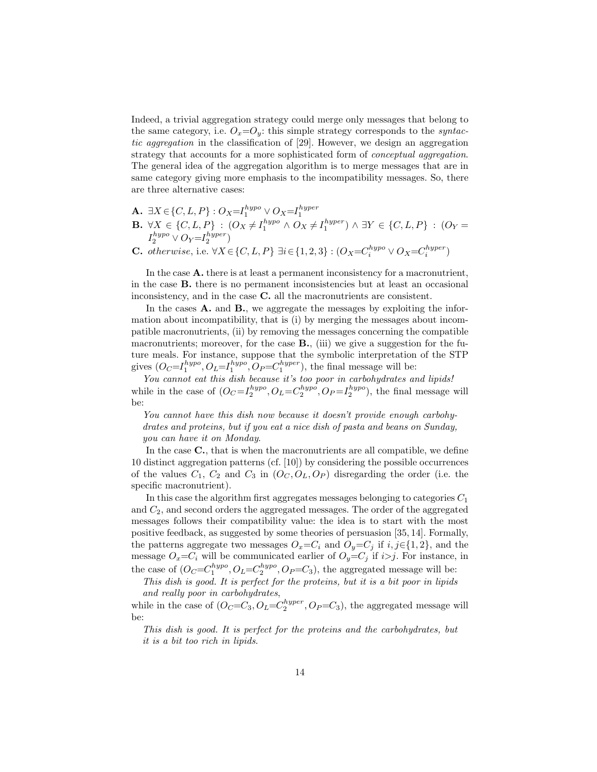Indeed, a trivial aggregation strategy could merge only messages that belong to the same category, i.e.  $O_x=O_y$ : this simple strategy corresponds to the *syntac*tic aggregation in the classification of [29]. However, we design an aggregation strategy that accounts for a more sophisticated form of *conceptual aggregation*. The general idea of the aggregation algorithm is to merge messages that are in same category giving more emphasis to the incompatibility messages. So, there are three alternative cases:

- **A.**  $\exists X \in \{C, L, P\} : O_X = I_1^{hypo} \vee O_X = I_1^{hyper}$
- **B.**  $\forall X \in \{C, L, P\} : (O_X \neq I_1^{hypo} \land O_X \neq I_1^{hyper}) \land \exists Y \in \{C, L, P\} : (O_Y =$  $I_2^{hypo} \vee O_Y = I_2^{hyper}$
- **C.** otherwise, i.e.  $\forall X \in \{C, L, P\} \exists i \in \{1, 2, 3\} : (O_X = C_i^{hypo} \vee O_X = C_i^{hyper})$

In the case **A**, there is at least a permanent inconsistency for a macronutrient, in the case B. there is no permanent inconsistencies but at least an occasional inconsistency, and in the case C. all the macronutrients are consistent.

In the cases **A.** and **B.**, we aggregate the messages by exploiting the information about incompatibility, that is (i) by merging the messages about incompatible macronutrients, (ii) by removing the messages concerning the compatible macronutrients; moreover, for the case  $B$ ., (iii) we give a suggestion for the future meals. For instance, suppose that the symbolic interpretation of the STP gives  $(O_C = I_1^{hypo}, O_L = I_1^{hypo}, O_P = C_1^{hyper})$ , the final message will be:

You cannot eat this dish because it's too poor in carbohydrates and lipids! while in the case of  $(O_C = I_2^{hypo}, O_L = C_2^{hypo}, O_P = I_2^{hypo})$ , the final message will be:

You cannot have this dish now because it doesn't provide enough carbohydrates and proteins, but if you eat a nice dish of pasta and beans on Sunday, you can have it on Monday.

In the case  $C$ , that is when the macronutrients are all compatible, we define 10 distinct aggregation patterns (cf. [10]) by considering the possible occurrences of the values  $C_1$ ,  $C_2$  and  $C_3$  in  $(O_C, O_L, O_P)$  disregarding the order (i.e. the specific macronutrient).

In this case the algorithm first aggregates messages belonging to categories  $C_1$ and  $C_2$ , and second orders the aggregated messages. The order of the aggregated messages follows their compatibility value: the idea is to start with the most positive feedback, as suggested by some theories of persuasion [35, 14]. Formally, the patterns aggregate two messages  $O_x = C_i$  and  $O_y = C_j$  if  $i, j \in \{1, 2\}$ , and the message  $O_x = C_i$  will be communicated earlier of  $O_y = C_j$  if  $i > j$ . For instance, in the case of  $(O_C=C_1^{hypo}, O_L=C_2^{hypo}, O_P=C_3)$ , the aggregated message will be:

This dish is good. It is perfect for the proteins, but it is a bit poor in lipids and really poor in carbohydrates,

while in the case of  $(O_C=C_3, O_L=C_2^{hyper}, O_P=C_3)$ , the aggregated message will be:

This dish is good. It is perfect for the proteins and the carbohydrates, but it is a bit too rich in lipids.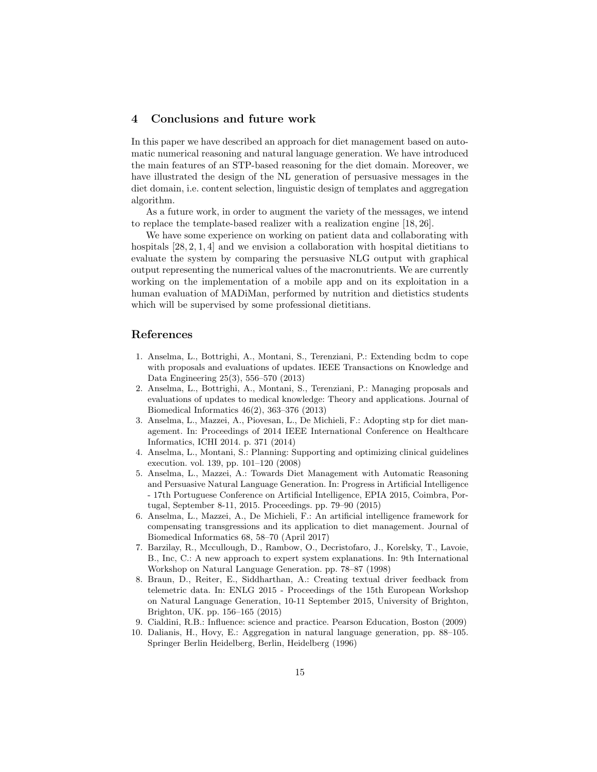## 4 Conclusions and future work

In this paper we have described an approach for diet management based on automatic numerical reasoning and natural language generation. We have introduced the main features of an STP-based reasoning for the diet domain. Moreover, we have illustrated the design of the NL generation of persuasive messages in the diet domain, i.e. content selection, linguistic design of templates and aggregation algorithm.

As a future work, in order to augment the variety of the messages, we intend to replace the template-based realizer with a realization engine [18, 26].

We have some experience on working on patient data and collaborating with hospitals  $[28, 2, 1, 4]$  and we envision a collaboration with hospital dietitians to evaluate the system by comparing the persuasive NLG output with graphical output representing the numerical values of the macronutrients. We are currently working on the implementation of a mobile app and on its exploitation in a human evaluation of MADiMan, performed by nutrition and dietistics students which will be supervised by some professional dietitians.

## References

- 1. Anselma, L., Bottrighi, A., Montani, S., Terenziani, P.: Extending bcdm to cope with proposals and evaluations of updates. IEEE Transactions on Knowledge and Data Engineering 25(3), 556–570 (2013)
- 2. Anselma, L., Bottrighi, A., Montani, S., Terenziani, P.: Managing proposals and evaluations of updates to medical knowledge: Theory and applications. Journal of Biomedical Informatics 46(2), 363–376 (2013)
- 3. Anselma, L., Mazzei, A., Piovesan, L., De Michieli, F.: Adopting stp for diet management. In: Proceedings of 2014 IEEE International Conference on Healthcare Informatics, ICHI 2014. p. 371 (2014)
- 4. Anselma, L., Montani, S.: Planning: Supporting and optimizing clinical guidelines execution. vol. 139, pp. 101–120 (2008)
- 5. Anselma, L., Mazzei, A.: Towards Diet Management with Automatic Reasoning and Persuasive Natural Language Generation. In: Progress in Artificial Intelligence - 17th Portuguese Conference on Artificial Intelligence, EPIA 2015, Coimbra, Portugal, September 8-11, 2015. Proceedings. pp. 79–90 (2015)
- 6. Anselma, L., Mazzei, A., De Michieli, F.: An artificial intelligence framework for compensating transgressions and its application to diet management. Journal of Biomedical Informatics 68, 58–70 (April 2017)
- 7. Barzilay, R., Mccullough, D., Rambow, O., Decristofaro, J., Korelsky, T., Lavoie, B., Inc, C.: A new approach to expert system explanations. In: 9th International Workshop on Natural Language Generation. pp. 78–87 (1998)
- 8. Braun, D., Reiter, E., Siddharthan, A.: Creating textual driver feedback from telemetric data. In: ENLG 2015 - Proceedings of the 15th European Workshop on Natural Language Generation, 10-11 September 2015, University of Brighton, Brighton, UK. pp. 156–165 (2015)
- 9. Cialdini, R.B.: Influence: science and practice. Pearson Education, Boston (2009)
- 10. Dalianis, H., Hovy, E.: Aggregation in natural language generation, pp. 88–105. Springer Berlin Heidelberg, Berlin, Heidelberg (1996)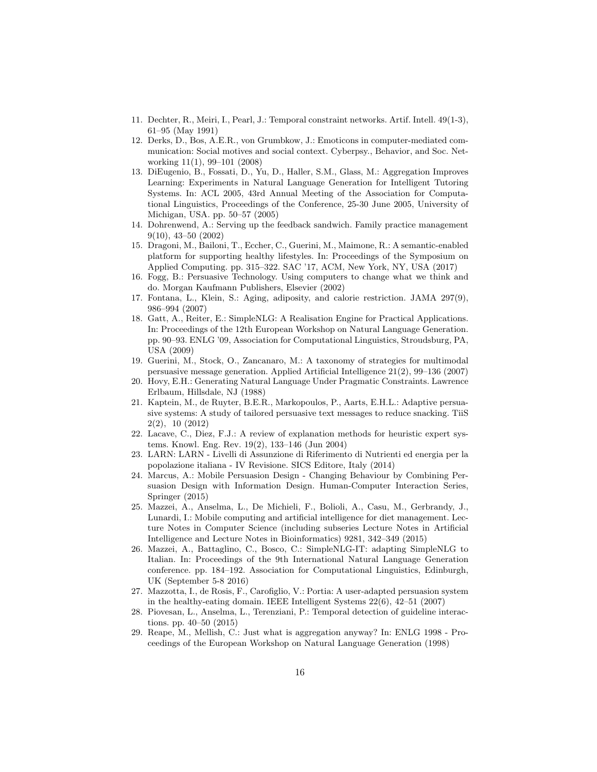- 11. Dechter, R., Meiri, I., Pearl, J.: Temporal constraint networks. Artif. Intell. 49(1-3), 61–95 (May 1991)
- 12. Derks, D., Bos, A.E.R., von Grumbkow, J.: Emoticons in computer-mediated communication: Social motives and social context. Cyberpsy., Behavior, and Soc. Networking 11(1), 99–101 (2008)
- 13. DiEugenio, B., Fossati, D., Yu, D., Haller, S.M., Glass, M.: Aggregation Improves Learning: Experiments in Natural Language Generation for Intelligent Tutoring Systems. In: ACL 2005, 43rd Annual Meeting of the Association for Computational Linguistics, Proceedings of the Conference, 25-30 June 2005, University of Michigan, USA. pp. 50–57 (2005)
- 14. Dohrenwend, A.: Serving up the feedback sandwich. Family practice management 9(10), 43–50 (2002)
- 15. Dragoni, M., Bailoni, T., Eccher, C., Guerini, M., Maimone, R.: A semantic-enabled platform for supporting healthy lifestyles. In: Proceedings of the Symposium on Applied Computing. pp. 315–322. SAC '17, ACM, New York, NY, USA (2017)
- 16. Fogg, B.: Persuasive Technology. Using computers to change what we think and do. Morgan Kaufmann Publishers, Elsevier (2002)
- 17. Fontana, L., Klein, S.: Aging, adiposity, and calorie restriction. JAMA 297(9), 986–994 (2007)
- 18. Gatt, A., Reiter, E.: SimpleNLG: A Realisation Engine for Practical Applications. In: Proceedings of the 12th European Workshop on Natural Language Generation. pp. 90–93. ENLG '09, Association for Computational Linguistics, Stroudsburg, PA, USA (2009)
- 19. Guerini, M., Stock, O., Zancanaro, M.: A taxonomy of strategies for multimodal persuasive message generation. Applied Artificial Intelligence 21(2), 99–136 (2007)
- 20. Hovy, E.H.: Generating Natural Language Under Pragmatic Constraints. Lawrence Erlbaum, Hillsdale, NJ (1988)
- 21. Kaptein, M., de Ruyter, B.E.R., Markopoulos, P., Aarts, E.H.L.: Adaptive persuasive systems: A study of tailored persuasive text messages to reduce snacking. TiiS 2(2), 10 (2012)
- 22. Lacave, C., Diez, F.J.: A review of explanation methods for heuristic expert systems. Knowl. Eng. Rev. 19(2), 133–146 (Jun 2004)
- 23. LARN: LARN Livelli di Assunzione di Riferimento di Nutrienti ed energia per la popolazione italiana - IV Revisione. SICS Editore, Italy (2014)
- 24. Marcus, A.: Mobile Persuasion Design Changing Behaviour by Combining Persuasion Design with Information Design. Human-Computer Interaction Series, Springer (2015)
- 25. Mazzei, A., Anselma, L., De Michieli, F., Bolioli, A., Casu, M., Gerbrandy, J., Lunardi, I.: Mobile computing and artificial intelligence for diet management. Lecture Notes in Computer Science (including subseries Lecture Notes in Artificial Intelligence and Lecture Notes in Bioinformatics) 9281, 342–349 (2015)
- 26. Mazzei, A., Battaglino, C., Bosco, C.: SimpleNLG-IT: adapting SimpleNLG to Italian. In: Proceedings of the 9th International Natural Language Generation conference. pp. 184–192. Association for Computational Linguistics, Edinburgh, UK (September 5-8 2016)
- 27. Mazzotta, I., de Rosis, F., Carofiglio, V.: Portia: A user-adapted persuasion system in the healthy-eating domain. IEEE Intelligent Systems 22(6), 42–51 (2007)
- 28. Piovesan, L., Anselma, L., Terenziani, P.: Temporal detection of guideline interactions. pp. 40–50 (2015)
- 29. Reape, M., Mellish, C.: Just what is aggregation anyway? In: ENLG 1998 Proceedings of the European Workshop on Natural Language Generation (1998)